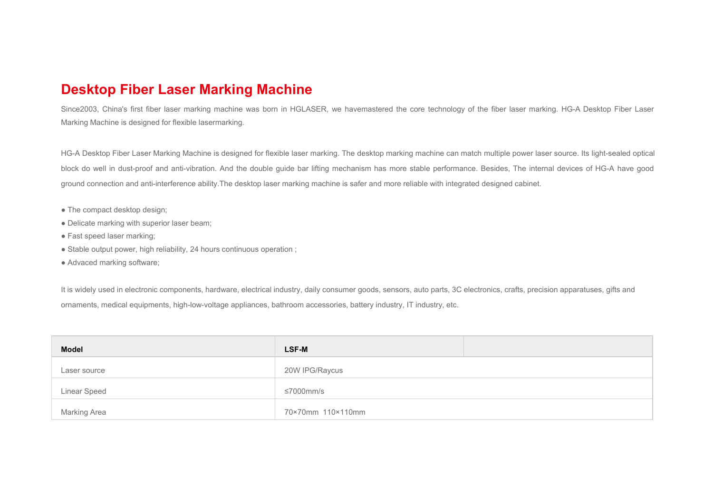## **Desktop Fiber Laser Marking Machine**

Since2003, China's first fiber laser marking machine was born in HGLASER, we havemastered the core technology of the fiber laser marking. HG-A Desktop Fiber Laser Marking Machine is designed for flexible lasermarking.

HG-A Desktop Fiber Laser Marking Machine is designed for flexible laser marking. The desktop marking machine can match multiple power laser source. Its light-sealed optical block do well in dust-proof and anti-vibration. And the double guide bar lifting mechanism has more stable performance. Besides, The internal devices of HG-A have good ground connection and anti-interference ability.The desktop laser marking machine is safer and more reliable with integrated designed cabinet.

- The compact desktop design;
- Delicate marking with superior laser beam;
- Fast speed laser marking;
- Stable output power, high reliability, 24 hours continuous operation :
- Advaced marking software;

It is widely used in electronic components, hardware, electrical industry, daily consumer goods, sensors, auto parts, 3C electronics, crafts, precision apparatuses, gifts and ornaments, medical equipments, high-low-voltage appliances, bathroom accessories, battery industry, IT industry, etc.

| <b>Model</b> | <b>LSF-M</b>      |
|--------------|-------------------|
| Laser source | 20W IPG/Raycus    |
| Linear Speed | ≤7000mm/s         |
| Marking Area | 70×70mm 110×110mm |